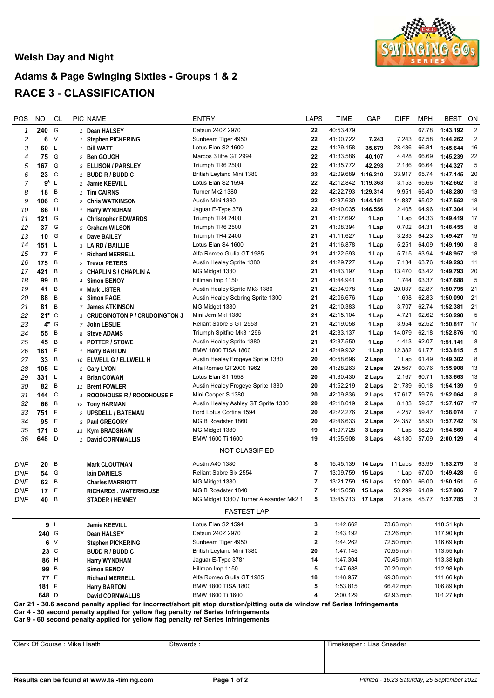## **Welsh Day and Night**



## **Adams & Page Swinging Sixties - Groups 1 & 2 RACE 3 - CLASSIFICATION**

| POS                                                                                                                                                                                                              | <b>NO</b>                   | <b>CL</b> | PIC NAME     |                                 | <b>ENTRY</b>                                                        | <b>LAPS</b>              | TIME                     | GAP              | <b>DIFF</b>     | <b>MPH</b>     | <b>BEST</b>           | ON             |
|------------------------------------------------------------------------------------------------------------------------------------------------------------------------------------------------------------------|-----------------------------|-----------|--------------|---------------------------------|---------------------------------------------------------------------|--------------------------|--------------------------|------------------|-----------------|----------------|-----------------------|----------------|
| 1                                                                                                                                                                                                                | 240                         | G         |              | 1 Dean HALSEY                   | Datsun 240Z 2970                                                    | 22                       | 40:53.479                |                  |                 | 67.78          | 1:43.192              | 2              |
| 2                                                                                                                                                                                                                | 6                           | V         |              | 1 Stephen PICKERING             | Sunbeam Tiger 4950                                                  | 22                       | 41:00.722                | 7.243            | 7.243           | 67.58          | 1:44.262              | $\overline{2}$ |
| 3                                                                                                                                                                                                                | 60                          | L         |              | 1 Bill WATT                     | Lotus Elan S2 1600                                                  | 22                       | 41:29.158                | 35.679           | 28.436          | 66.81          | 1:45.644              | 16             |
| 4                                                                                                                                                                                                                | 75 G                        |           |              | 2 Ben GOUGH                     | Marcos 3 litre GT 2994                                              | 22                       | 41:33.586                | 40.107           | 4.428           | 66.69          | 1:45.239              | 22             |
| 5                                                                                                                                                                                                                | 167                         | G         |              | 3 ELLISON / PARSLEY             | Triumph TR6 2500                                                    | 22                       | 41:35.772                | 42.293           | 2.186           | 66.64          | 1:44.327              | 5              |
| 6                                                                                                                                                                                                                | 23 C                        |           |              | $1$ BUDD R / BUDD C             | British Leyland Mini 1380                                           | 22                       | 42:09.689 1:16.210       |                  | 33.917          | 65.74          | 1:47.145              | 20             |
| $\overline{7}$                                                                                                                                                                                                   | <b>g*</b> L                 |           |              | 2 Jamie KEEVILL                 | Lotus Elan S2 1594                                                  | 22                       | 42:12.842 1:19.363       |                  | 3.153           | 65.66          | 1:42.662              | 3              |
| 8                                                                                                                                                                                                                | 18                          | B         | $\mathbf{1}$ | <b>Tim CAIRNS</b>               | Turner Mk2 1380                                                     | 22                       | 42:22.793 1:29.314       |                  | 9.951           | 65.40          | 1:48.280              | 13             |
| 9                                                                                                                                                                                                                | 106                         | C         |              | 2 Chris WATKINSON               | Austin Mini 1380                                                    | 22                       | 42:37.630 1:44.151       |                  | 14.837          | 65.02          | 1:47.552              | 18             |
| 10                                                                                                                                                                                                               | 86                          | Н         |              | 1 Harry WYNDHAM                 | Jaguar E-Type 3781                                                  | 22                       | 42:40.035 1:46.556       |                  | 2.405           | 64.96          | 1:47.304              | 14             |
| 11                                                                                                                                                                                                               | 121                         | G         |              | 4 Christopher EDWARDS           | Triumph TR4 2400                                                    | 21                       | 41:07.692                | 1 Lap            | 1 Lap           | 64.33          | 1:49.419              | 17             |
| 12                                                                                                                                                                                                               | 37                          | G         |              | 5 Graham WILSON                 | Triumph TR6 2500                                                    | 21                       | 41:08.394                | 1 Lap            | 0.702           | 64.31          | 1:48.455              | 8              |
| 13                                                                                                                                                                                                               | 10                          | G         |              | 6 Dave BAILEY                   | Triumph TR4 2400                                                    | 21                       | 41:11.627                | 1 Lap            | 3.233           | 64.23          | 1:49.427              | 19             |
| 14                                                                                                                                                                                                               | 151 $L$                     |           |              | 3 LAIRD / BAILLIE               | Lotus Elan S4 1600                                                  | 21                       | 41:16.878                | 1 Lap            | 5.251           | 64.09          | 1:49.190              | 8              |
| 15                                                                                                                                                                                                               | 77 E                        |           |              | 1 Richard MERRELL               | Alfa Romeo Giulia GT 1985                                           | 21                       | 41:22.593                | 1 Lap            | 5.715           | 63.94          | 1:48.957              | 18             |
| 16                                                                                                                                                                                                               | 175                         | B         |              | 2 Trevor PETERS                 | Austin Healey Sprite 1380                                           | 21                       | 41:29.727                | 1 Lap            | 7.134           | 63.76          | 1:49.293              | 11             |
| 17                                                                                                                                                                                                               | 421                         | B         |              | з CHAPLIN S / CHAPLIN A         | MG Midget 1330                                                      | 21                       | 41:43.197                | 1 Lap            | 13.470          | 63.42          | 1:49.793              | 20             |
| 18                                                                                                                                                                                                               | 99                          | B         |              | 4 Simon BENOY                   | Hillman Imp 1150                                                    | 21                       | 41:44.941                | 1 Lap            | 1.744           | 63.37          | 1:47.688              | 5              |
| 19                                                                                                                                                                                                               | 41                          | B         |              | 5 Mark LISTER                   | Austin Healey Sprite Mk3 1380                                       | 21                       | 42:04.978                | 1 Lap            | 20.037          | 62.87          | 1:50.795              | 21             |
| 20                                                                                                                                                                                                               | 88                          | B         |              | 6 Simon PAGE                    | Austin Healey Sebring Sprite 1300                                   | 21                       | 42:06.676                | 1 Lap            | 1.698           | 62.83          | 1:50.090              | 21             |
| 21                                                                                                                                                                                                               | 81                          | B         |              | 7 James ATKINSON                | MG Midget 1380                                                      | 21                       | 42:10.383                | 1 Lap            | 3.707           | 62.74          | 1:52.381              | 21             |
| 22                                                                                                                                                                                                               | $21*$ C                     |           |              | 3 CRUDGINGTON P / CRUDGINGTON J | Mini Jem Mkl 1380                                                   | 21                       | 42:15.104                | 1 Lap            | 4.721           | 62.62          | 1:50.298              | 5              |
| 23                                                                                                                                                                                                               |                             | 4 * G     |              | 7 John LESLIE                   | Reliant Sabre 6 GT 2553                                             | 21                       | 42:19.058                | 1 Lap            | 3.954           | 62.52          | 1:50.817              | 17             |
| 24                                                                                                                                                                                                               | 55 B                        |           |              | 8 Steve ADAMS                   | Triumph Spitfire Mk3 1296                                           | 21                       | 42:33.137<br>42:37.550   | 1 Lap            | 14.079          | 62.18          | 1:52.876              | 10             |
| 25                                                                                                                                                                                                               | 45                          | B         |              | 9 POTTER / STOWE                | Austin Healey Sprite 1380<br>BMW 1800 TISA 1800                     | 21<br>21                 | 42:49.932                | 1 Lap            | 4.413           | 62.07          | 1:51.141<br>1:53.815  | 8              |
| 26                                                                                                                                                                                                               | 181                         | F<br>B    |              | 1 Harry BARTON                  |                                                                     | 20                       | 40:58.696                | 1 Lap            | 12.382          | 61.77<br>61.49 | 1:49.302              | 5<br>8         |
| 27                                                                                                                                                                                                               | 33<br>$105$ E               |           |              | 10 ELWELL G / ELLWELL H         | Austin Healey Frogeye Sprite 1380<br>Alfa Romeo GT2000 1962         | 20                       | 41:28.263                | 2 Laps<br>2 Laps | 1 Lap<br>29.567 | 60.76          | 1:55.908              | 13             |
| 28<br>29                                                                                                                                                                                                         | $331 \quad L$               |           |              | 2 Gary LYON<br>4 Brian COWAN    | Lotus Elan S1 1558                                                  | 20                       | 41:30.430                | 2 Laps           | 2.167           | 60.71          | 1:53.663              | 13             |
| 30                                                                                                                                                                                                               | 82                          | B         |              | 11 Brent FOWLER                 | Austin Healey Frogeye Sprite 1380                                   | 20                       | 41:52.219                | 2 Laps           | 21.789          | 60.18          | 1:54.139              | 9              |
| 31                                                                                                                                                                                                               | 144                         | C         |              | 4 ROODHOUSE R / ROODHOUSE F     | Mini Cooper S 1380                                                  | 20                       | 42:09.836                | 2 Laps           | 17.617          | 59.76          | 1:52.064              | 8              |
| 32                                                                                                                                                                                                               | 66                          | B         |              | 12 Tony HARMAN                  | Austin Healey Ashley GT Sprite 1330                                 | 20                       | 42:18.019                | 2 Laps           | 8.183           | 59.57          | 1:57.167              | 17             |
| 33                                                                                                                                                                                                               | 751 F                       |           |              | 2 UPSDELL / BATEMAN             | Ford Lotus Cortina 1594                                             | 20                       | 42:22.276                | 2 Laps           | 4.257           | 59.47          | 1:58.074              | $\overline{7}$ |
| 34                                                                                                                                                                                                               | 95                          | Ε         |              | 3 Paul GREGORY                  | MG B Roadster 1860                                                  | 20                       | 42:46.633                | 2 Laps           | 24.357          | 58.90          | 1:57.742              | 19             |
| 35                                                                                                                                                                                                               | 171                         | B         |              | 13 Kym BRADSHAW                 | MG Midget 1380                                                      | 19                       | 41:07.728                | 3 Laps           | 1 Lap           | 58.20          | 1:54.560              | 4              |
| 36                                                                                                                                                                                                               | 648                         | $\Box$    |              | 1 David CORNWALLIS              | BMW 1600 Ti 1600                                                    | 19                       | 41:55.908                | 3 Laps           | 48.180          | 57.09          | 2:00.129              | 4              |
|                                                                                                                                                                                                                  |                             |           |              |                                 | <b>NOT CLASSIFIED</b>                                               |                          |                          |                  |                 |                |                       |                |
| <b>DNF</b>                                                                                                                                                                                                       | 20B                         |           |              | Mark CLOUTMAN                   | <b>Austin A40 1380</b>                                              | 8                        | 15:45.139                | 14 Laps          | 11 Laps         | 63.99          | 1:53.279              | 3              |
| DNF                                                                                                                                                                                                              | 54                          | G         |              | lain DANIELS                    | Reliant Sabre Six 2554                                              | 7                        | 13:09.759                | 15 Laps          | 1 Lap           | 67.00          | 1:49.428              | 5              |
| <b>DNF</b>                                                                                                                                                                                                       | 62                          | B         |              | <b>Charles MARRIOTT</b>         | MG Midget 1380                                                      | 7                        | 13:21.759                | 15 Laps          | 12.000          | 66.00          | 1:50.151              | 5              |
| <b>DNF</b>                                                                                                                                                                                                       | 17 E                        |           |              | RICHARDS. WATERHOUSE            | MG B Roadster 1840                                                  | $\overline{\phantom{a}}$ | 14:15.058 15 Laps        |                  |                 |                | 53.299 61.89 1:57.986 | $\overline{7}$ |
| <b>DNF</b>                                                                                                                                                                                                       | 40 B                        |           |              | STADER / HENNEY                 | MG Midget 1380 / Turner Alexander Mk2 1                             | 5                        | 13:45.713 <b>17 Laps</b> |                  | 2 Laps 45.77    |                | 1:57.785              | 3              |
|                                                                                                                                                                                                                  |                             |           |              |                                 | <b>FASTEST LAP</b>                                                  |                          |                          |                  |                 |                |                       |                |
|                                                                                                                                                                                                                  | 9 <sub>l</sub>              |           |              | Jamie KEEVILL                   | Lotus Elan S2 1594                                                  | 3                        | 1:42.662                 |                  | 73.63 mph       |                | 118.51 kph            |                |
|                                                                                                                                                                                                                  | 240 G<br>6V<br>23 C<br>86 H |           |              | Dean HALSEY                     | Datsun 240Z 2970<br>Sunbeam Tiger 4950<br>British Leyland Mini 1380 | 2<br>2<br>20             | 1:43.192                 |                  | 73.26 mph       |                | 117.90 kph            |                |
|                                                                                                                                                                                                                  |                             |           |              | <b>Stephen PICKERING</b>        |                                                                     |                          | 1:44.262                 |                  | 72.50 mph       |                | 116.69 kph            |                |
|                                                                                                                                                                                                                  |                             |           |              | BUDD R / BUDD C                 |                                                                     |                          | 1:47.145                 | 70.55 mph        |                 |                | 113.55 kph            |                |
|                                                                                                                                                                                                                  |                             |           |              | Harry WYNDHAM                   | Jaguar E-Type 3781                                                  |                          | 1:47.304                 |                  | 70.45 mph       |                | 113.38 kph            |                |
|                                                                                                                                                                                                                  | 99 B                        |           |              | Simon BENOY                     | Hillman Imp 1150                                                    | 14<br>5                  | 1:47.688                 | 70.20 mph        |                 | 112.98 kph     |                       |                |
|                                                                                                                                                                                                                  | 77 E                        |           |              | <b>Richard MERRELL</b>          | Alfa Romeo Giulia GT 1985                                           | 18                       | 1:48.957                 |                  | 69.38 mph       |                | 111.66 kph            |                |
|                                                                                                                                                                                                                  | 181 F                       |           |              | <b>Harry BARTON</b>             | <b>BMW 1800 TISA 1800</b>                                           | 5                        | 1:53.815                 |                  | 66.42 mph       |                | 106.89 kph            |                |
|                                                                                                                                                                                                                  | 648 D                       |           |              | David CORNWALLIS                | BMW 1600 Ti 1600                                                    | 4                        | 2:00.129                 |                  | 62.93 mph       |                | 101.27 kph            |                |
| Car 21 - 30.6 second penalty applied for incorrect/short pit stop duration/pitting outside window ref Series Infringements<br>Car 4 - 30 second penalty applied for yellow flag penalty ref Series Infringements |                             |           |              |                                 |                                                                     |                          |                          |                  |                 |                |                       |                |

**Car 9 - 60 second penalty applied for yellow flag penalty ref Series Infringements**

Timekeeper : Lisa Sneader | Stewards : Nike Heath Stewards : Stewards : Timekeeper : Lisa Sneader